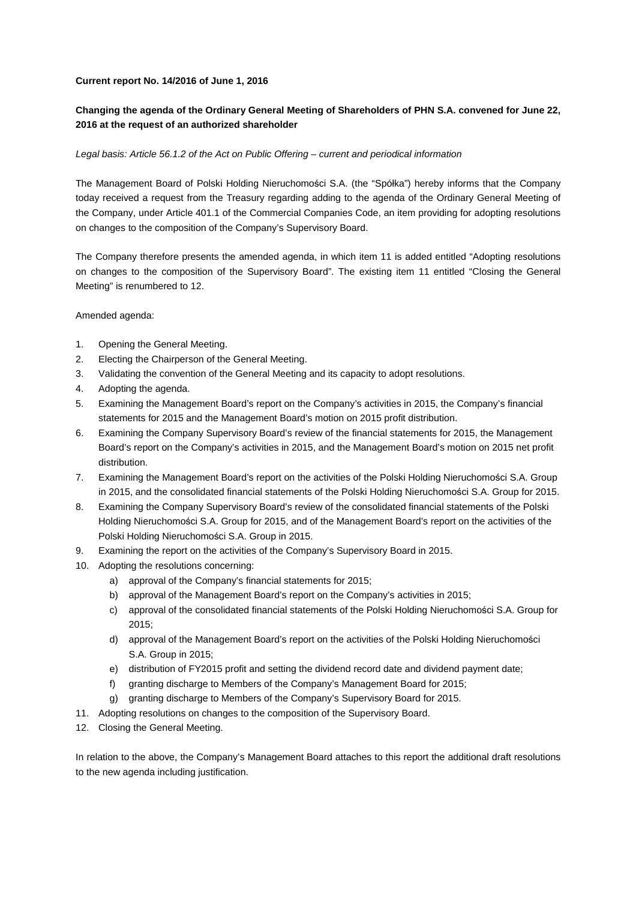### **Current report No. 14/2016 of June 1, 2016**

# **Changing the agenda of the Ordinary General Meeting of Shareholders of PHN S.A. convened for June 22, 2016 at the request of an authorized shareholder**

### Legal basis: Article 56.1.2 of the Act on Public Offering – current and periodical information

The Management Board of Polski Holding Nieruchomości S.A. (the "Spółka") hereby informs that the Company today received a request from the Treasury regarding adding to the agenda of the Ordinary General Meeting of the Company, under Article 401.1 of the Commercial Companies Code, an item providing for adopting resolutions on changes to the composition of the Company's Supervisory Board.

The Company therefore presents the amended agenda, in which item 11 is added entitled "Adopting resolutions on changes to the composition of the Supervisory Board". The existing item 11 entitled "Closing the General Meeting" is renumbered to 12.

#### Amended agenda:

- 1. Opening the General Meeting.
- 2. Electing the Chairperson of the General Meeting.
- 3. Validating the convention of the General Meeting and its capacity to adopt resolutions.
- 4. Adopting the agenda.
- 5. Examining the Management Board's report on the Company's activities in 2015, the Company's financial statements for 2015 and the Management Board's motion on 2015 profit distribution.
- 6. Examining the Company Supervisory Board's review of the financial statements for 2015, the Management Board's report on the Company's activities in 2015, and the Management Board's motion on 2015 net profit distribution.
- 7. Examining the Management Board's report on the activities of the Polski Holding Nieruchomości S.A. Group in 2015, and the consolidated financial statements of the Polski Holding Nieruchomości S.A. Group for 2015.
- 8. Examining the Company Supervisory Board's review of the consolidated financial statements of the Polski Holding Nieruchomości S.A. Group for 2015, and of the Management Board's report on the activities of the Polski Holding Nieruchomości S.A. Group in 2015.
- 9. Examining the report on the activities of the Company's Supervisory Board in 2015.
- 10. Adopting the resolutions concerning:
	- a) approval of the Company's financial statements for 2015;
	- b) approval of the Management Board's report on the Company's activities in 2015;
	- c) approval of the consolidated financial statements of the Polski Holding Nieruchomości S.A. Group for 2015;
	- d) approval of the Management Board's report on the activities of the Polski Holding Nieruchomości S.A. Group in 2015;
	- e) distribution of FY2015 profit and setting the dividend record date and dividend payment date;
	- f) granting discharge to Members of the Company's Management Board for 2015;
	- g) granting discharge to Members of the Company's Supervisory Board for 2015.
- 11. Adopting resolutions on changes to the composition of the Supervisory Board.
- 12. Closing the General Meeting.

In relation to the above, the Company's Management Board attaches to this report the additional draft resolutions to the new agenda including justification.